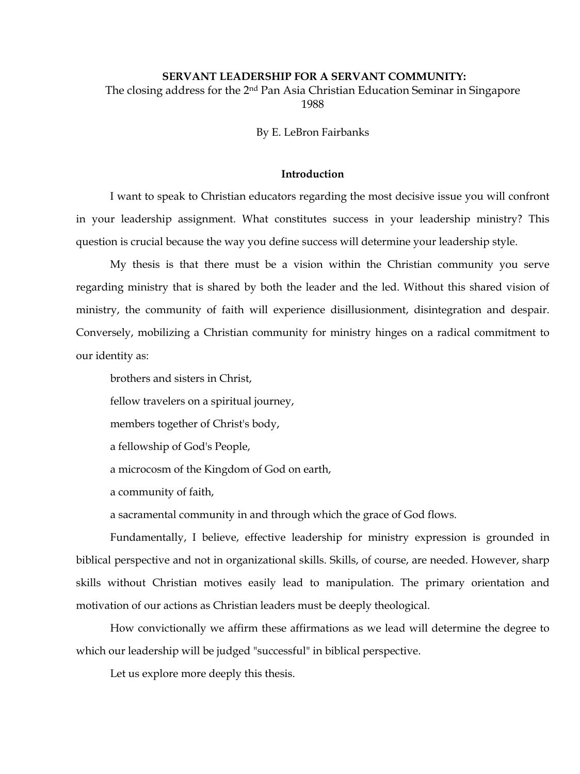# **SERVANT LEADERSHIP FOR A SERVANT COMMUNITY:**

The closing address for the 2nd Pan Asia Christian Education Seminar in Singapore 1988

By E. LeBron Fairbanks

## **Introduction**

I want to speak to Christian educators regarding the most decisive issue you will confront in your leadership assignment. What constitutes success in your leadership ministry? This question is crucial because the way you define success will determine your leadership style.

My thesis is that there must be a vision within the Christian community you serve regarding ministry that is shared by both the leader and the led. Without this shared vision of ministry, the community of faith will experience disillusionment, disintegration and despair. Conversely, mobilizing a Christian community for ministry hinges on a radical commitment to our identity as:

brothers and sisters in Christ,

fellow travelers on a spiritual journey,

members together of Christ's body,

a fellowship of God's People,

a microcosm of the Kingdom of God on earth,

a community of faith,

a sacramental community in and through which the grace of God flows.

Fundamentally, I believe, effective leadership for ministry expression is grounded in biblical perspective and not in organizational skills. Skills, of course, are needed. However, sharp skills without Christian motives easily lead to manipulation. The primary orientation and motivation of our actions as Christian leaders must be deeply theological.

How convictionally we affirm these affirmations as we lead will determine the degree to which our leadership will be judged "successful" in biblical perspective.

Let us explore more deeply this thesis.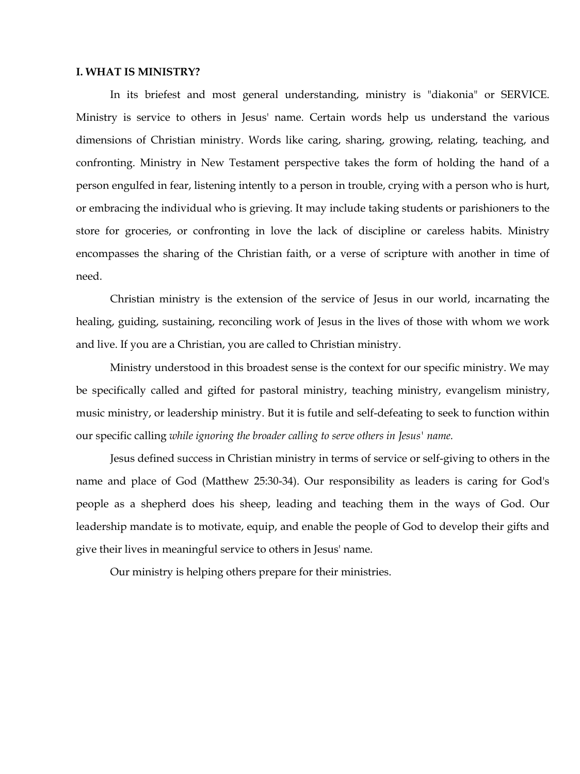### **I. WHAT IS MINISTRY?**

In its briefest and most general understanding, ministry is "diakonia" or SERVICE. Ministry is service to others in Jesus' name. Certain words help us understand the various dimensions of Christian ministry. Words like caring, sharing, growing, relating, teaching, and confronting. Ministry in New Testament perspective takes the form of holding the hand of a person engulfed in fear, listening intently to a person in trouble, crying with a person who is hurt, or embracing the individual who is grieving. It may include taking students or parishioners to the store for groceries, or confronting in love the lack of discipline or careless habits. Ministry encompasses the sharing of the Christian faith, or a verse of scripture with another in time of need.

Christian ministry is the extension of the service of Jesus in our world, incarnating the healing, guiding, sustaining, reconciling work of Jesus in the lives of those with whom we work and live. If you are a Christian, you are called to Christian ministry.

Ministry understood in this broadest sense is the context for our specific ministry. We may be specifically called and gifted for pastoral ministry, teaching ministry, evangelism ministry, music ministry, or leadership ministry. But it is futile and self-defeating to seek to function within our specific calling *while ignoring the broader calling to serve others in Jesus' name.* 

Jesus defined success in Christian ministry in terms of service or self-giving to others in the name and place of God (Matthew 25:30-34). Our responsibility as leaders is caring for God's people as a shepherd does his sheep, leading and teaching them in the ways of God. Our leadership mandate is to motivate, equip, and enable the people of God to develop their gifts and give their lives in meaningful service to others in Jesus' name.

Our ministry is helping others prepare for their ministries.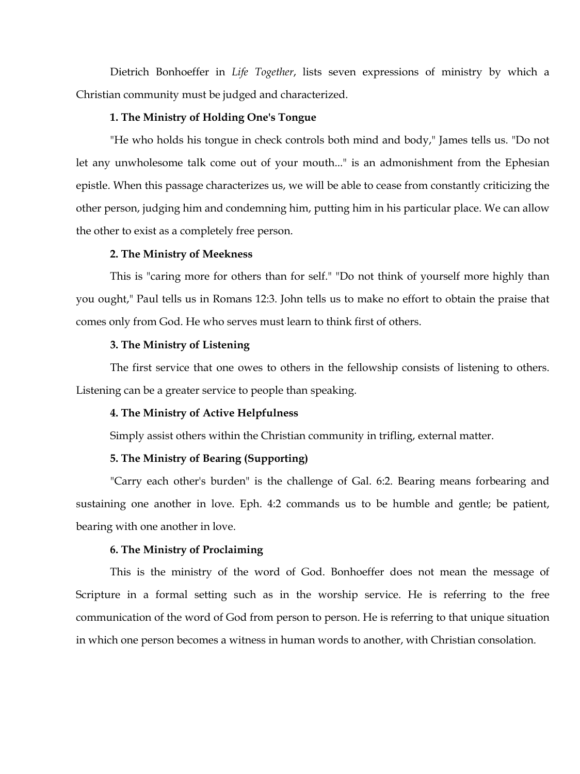Dietrich Bonhoeffer in *Life Together*, lists seven expressions of ministry by which a Christian community must be judged and characterized.

# **1. The Ministry of Holding One's Tongue**

"He who holds his tongue in check controls both mind and body," James tells us. "Do not let any unwholesome talk come out of your mouth..." is an admonishment from the Ephesian epistle. When this passage characterizes us, we will be able to cease from constantly criticizing the other person, judging him and condemning him, putting him in his particular place. We can allow the other to exist as a completely free person.

# **2. The Ministry of Meekness**

This is "caring more for others than for self." "Do not think of yourself more highly than you ought," Paul tells us in Romans 12:3. John tells us to make no effort to obtain the praise that comes only from God. He who serves must learn to think first of others.

## **3. The Ministry of Listening**

The first service that one owes to others in the fellowship consists of listening to others. Listening can be a greater service to people than speaking.

# **4. The Ministry of Active Helpfulness**

Simply assist others within the Christian community in trifling, external matter.

# **5. The Ministry of Bearing (Supporting)**

"Carry each other's burden" is the challenge of Gal. 6:2. Bearing means forbearing and sustaining one another in love. Eph. 4:2 commands us to be humble and gentle; be patient, bearing with one another in love.

### **6. The Ministry of Proclaiming**

This is the ministry of the word of God. Bonhoeffer does not mean the message of Scripture in a formal setting such as in the worship service. He is referring to the free communication of the word of God from person to person. He is referring to that unique situation in which one person becomes a witness in human words to another, with Christian consolation.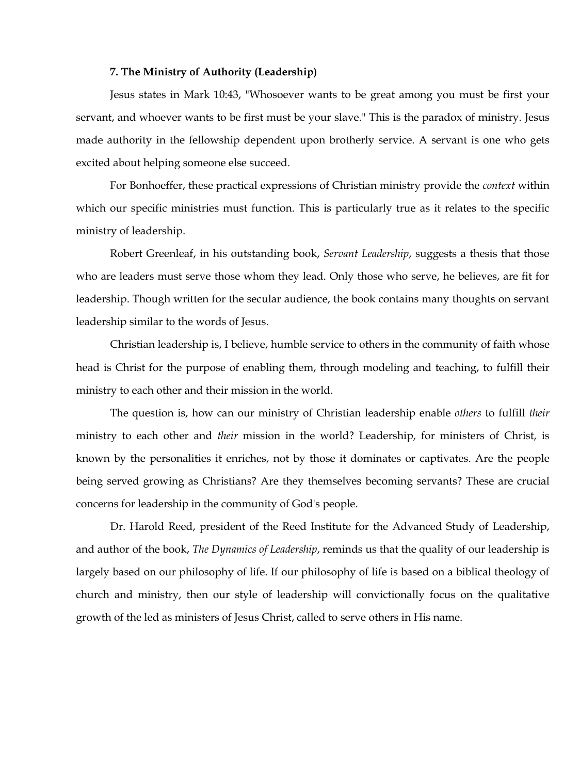#### **7. The Ministry of Authority (Leadership)**

Jesus states in Mark 10:43, "Whosoever wants to be great among you must be first your servant, and whoever wants to be first must be your slave." This is the paradox of ministry. Jesus made authority in the fellowship dependent upon brotherly service. A servant is one who gets excited about helping someone else succeed.

For Bonhoeffer, these practical expressions of Christian ministry provide the *context* within which our specific ministries must function. This is particularly true as it relates to the specific ministry of leadership.

Robert Greenleaf, in his outstanding book, *Servant Leadership*, suggests a thesis that those who are leaders must serve those whom they lead. Only those who serve, he believes, are fit for leadership. Though written for the secular audience, the book contains many thoughts on servant leadership similar to the words of Jesus.

Christian leadership is, I believe, humble service to others in the community of faith whose head is Christ for the purpose of enabling them, through modeling and teaching, to fulfill their ministry to each other and their mission in the world.

The question is, how can our ministry of Christian leadership enable *others* to fulfill *their* ministry to each other and *their* mission in the world? Leadership, for ministers of Christ, is known by the personalities it enriches, not by those it dominates or captivates. Are the people being served growing as Christians? Are they themselves becoming servants? These are crucial concerns for leadership in the community of God's people.

Dr. Harold Reed, president of the Reed Institute for the Advanced Study of Leadership, and author of the book, *The Dynamics of Leadership*, reminds us that the quality of our leadership is largely based on our philosophy of life. If our philosophy of life is based on a biblical theology of church and ministry, then our style of leadership will convictionally focus on the qualitative growth of the led as ministers of Jesus Christ, called to serve others in His name.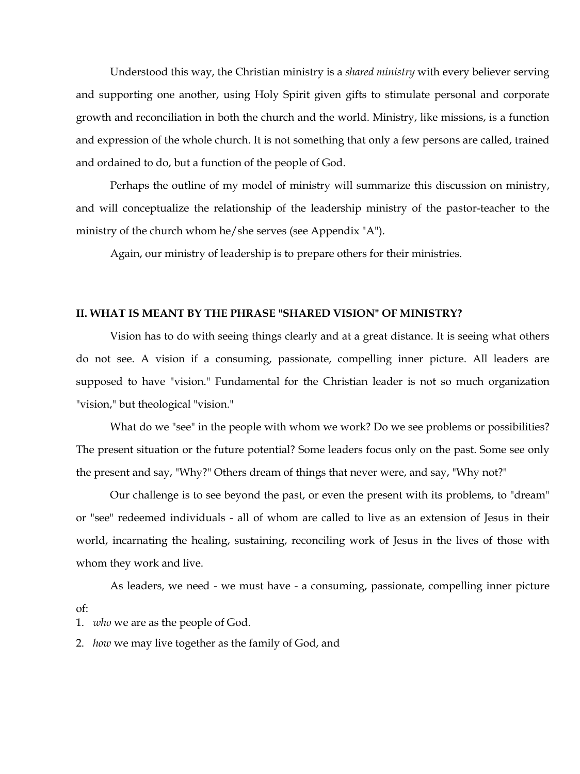Understood this way, the Christian ministry is a *shared ministry* with every believer serving and supporting one another, using Holy Spirit given gifts to stimulate personal and corporate growth and reconciliation in both the church and the world. Ministry, like missions, is a function and expression of the whole church. It is not something that only a few persons are called, trained and ordained to do, but a function of the people of God.

Perhaps the outline of my model of ministry will summarize this discussion on ministry, and will conceptualize the relationship of the leadership ministry of the pastor-teacher to the ministry of the church whom he/she serves (see Appendix "A").

Again, our ministry of leadership is to prepare others for their ministries.

#### **II. WHAT IS MEANT BY THE PHRASE "SHARED VISION" OF MINISTRY?**

Vision has to do with seeing things clearly and at a great distance. It is seeing what others do not see. A vision if a consuming, passionate, compelling inner picture. All leaders are supposed to have "vision." Fundamental for the Christian leader is not so much organization "vision," but theological "vision."

What do we "see" in the people with whom we work? Do we see problems or possibilities? The present situation or the future potential? Some leaders focus only on the past. Some see only the present and say, "Why?" Others dream of things that never were, and say, "Why not?"

Our challenge is to see beyond the past, or even the present with its problems, to "dream" or "see" redeemed individuals - all of whom are called to live as an extension of Jesus in their world, incarnating the healing, sustaining, reconciling work of Jesus in the lives of those with whom they work and live.

As leaders, we need - we must have - a consuming, passionate, compelling inner picture of:

1. *who* we are as the people of God.

2. *how* we may live together as the family of God, and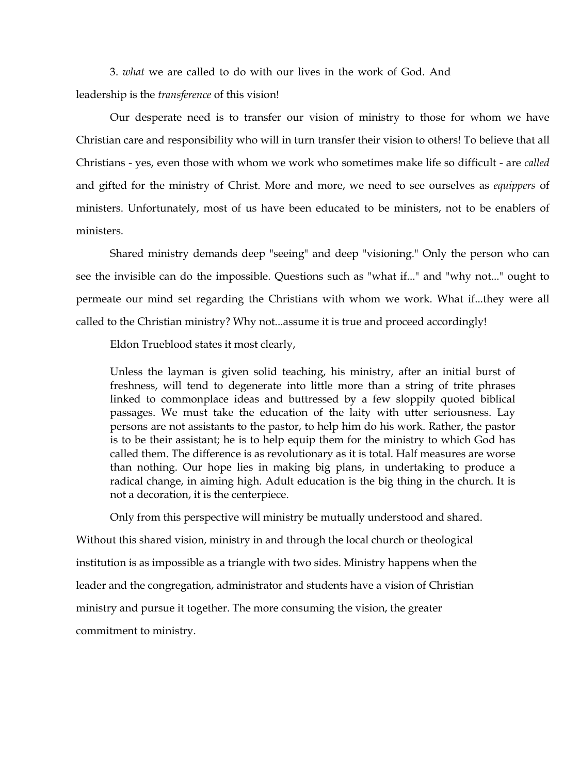3. *what* we are called to do with our lives in the work of God. And leadership is the *transference* of this vision!

Our desperate need is to transfer our vision of ministry to those for whom we have Christian care and responsibility who will in turn transfer their vision to others! To believe that all Christians - yes, even those with whom we work who sometimes make life so difficult - are *called* and gifted for the ministry of Christ. More and more, we need to see ourselves as *equippers* of ministers. Unfortunately, most of us have been educated to be ministers, not to be enablers of ministers.

Shared ministry demands deep "seeing" and deep "visioning." Only the person who can see the invisible can do the impossible. Questions such as "what if..." and "why not..." ought to permeate our mind set regarding the Christians with whom we work. What if...they were all called to the Christian ministry? Why not...assume it is true and proceed accordingly!

Eldon Trueblood states it most clearly,

Unless the layman is given solid teaching, his ministry, after an initial burst of freshness, will tend to degenerate into little more than a string of trite phrases linked to commonplace ideas and buttressed by a few sloppily quoted biblical passages. We must take the education of the laity with utter seriousness. Lay persons are not assistants to the pastor, to help him do his work. Rather, the pastor is to be their assistant; he is to help equip them for the ministry to which God has called them. The difference is as revolutionary as it is total. Half measures are worse than nothing. Our hope lies in making big plans, in undertaking to produce a radical change, in aiming high. Adult education is the big thing in the church. It is not a decoration, it is the centerpiece.

Only from this perspective will ministry be mutually understood and shared.

Without this shared vision, ministry in and through the local church or theological institution is as impossible as a triangle with two sides. Ministry happens when the leader and the congregation, administrator and students have a vision of Christian ministry and pursue it together. The more consuming the vision, the greater commitment to ministry.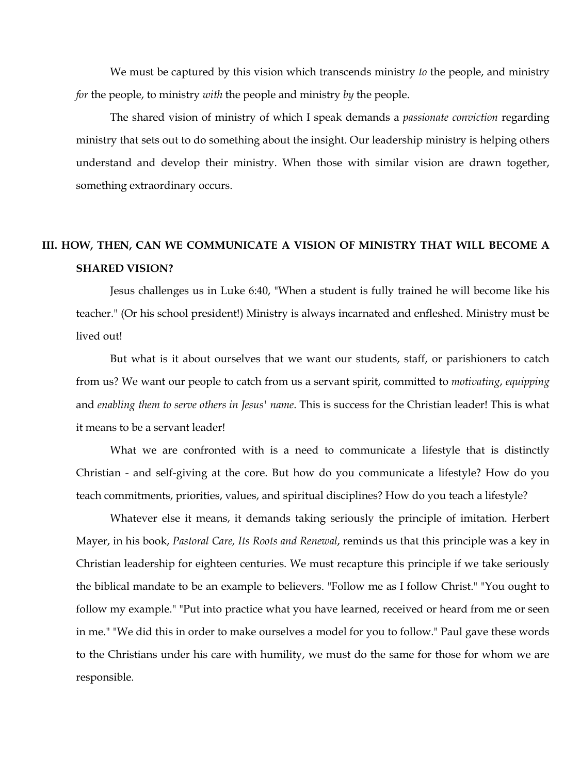We must be captured by this vision which transcends ministry *to* the people, and ministry *for* the people, to ministry *with* the people and ministry *by* the people.

The shared vision of ministry of which I speak demands a *passionate conviction* regarding ministry that sets out to do something about the insight. Our leadership ministry is helping others understand and develop their ministry. When those with similar vision are drawn together, something extraordinary occurs.

# **III. HOW, THEN, CAN WE COMMUNICATE A VISION OF MINISTRY THAT WILL BECOME A SHARED VISION?**

Jesus challenges us in Luke 6:40, "When a student is fully trained he will become like his teacher." (Or his school president!) Ministry is always incarnated and enfleshed. Ministry must be lived out!

But what is it about ourselves that we want our students, staff, or parishioners to catch from us? We want our people to catch from us a servant spirit, committed to *motivating*, *equipping* and *enabling them to serve others in Jesus' name*. This is success for the Christian leader! This is what it means to be a servant leader!

What we are confronted with is a need to communicate a lifestyle that is distinctly Christian - and self-giving at the core. But how do you communicate a lifestyle? How do you teach commitments, priorities, values, and spiritual disciplines? How do you teach a lifestyle?

Whatever else it means, it demands taking seriously the principle of imitation. Herbert Mayer, in his book, *Pastoral Care, Its Roots and Renewal*, reminds us that this principle was a key in Christian leadership for eighteen centuries. We must recapture this principle if we take seriously the biblical mandate to be an example to believers. "Follow me as I follow Christ." "You ought to follow my example." "Put into practice what you have learned, received or heard from me or seen in me." "We did this in order to make ourselves a model for you to follow." Paul gave these words to the Christians under his care with humility, we must do the same for those for whom we are responsible.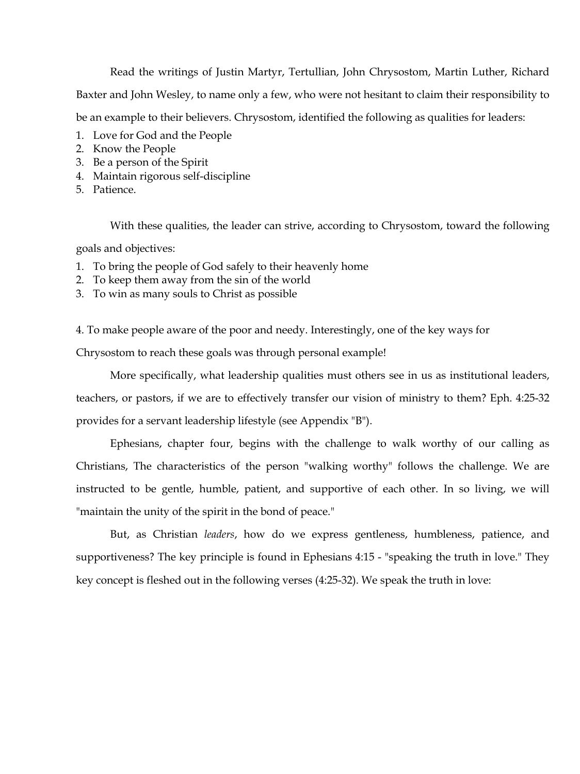Read the writings of Justin Martyr, Tertullian, John Chrysostom, Martin Luther, Richard Baxter and John Wesley, to name only a few, who were not hesitant to claim their responsibility to be an example to their believers. Chrysostom, identified the following as qualities for leaders:

- 1. Love for God and the People
- 2. Know the People
- 3. Be a person of the Spirit
- 4. Maintain rigorous self-discipline
- 5. Patience.

With these qualities, the leader can strive, according to Chrysostom, toward the following

goals and objectives:

- 1. To bring the people of God safely to their heavenly home
- 2. To keep them away from the sin of the world
- 3. To win as many souls to Christ as possible

4. To make people aware of the poor and needy. Interestingly, one of the key ways for

Chrysostom to reach these goals was through personal example!

More specifically, what leadership qualities must others see in us as institutional leaders, teachers, or pastors, if we are to effectively transfer our vision of ministry to them? Eph. 4:25-32 provides for a servant leadership lifestyle (see Appendix "B").

Ephesians, chapter four, begins with the challenge to walk worthy of our calling as Christians, The characteristics of the person "walking worthy" follows the challenge. We are instructed to be gentle, humble, patient, and supportive of each other. In so living, we will "maintain the unity of the spirit in the bond of peace."

But, as Christian *leaders*, how do we express gentleness, humbleness, patience, and supportiveness? The key principle is found in Ephesians 4:15 - "speaking the truth in love." They key concept is fleshed out in the following verses (4:25-32). We speak the truth in love: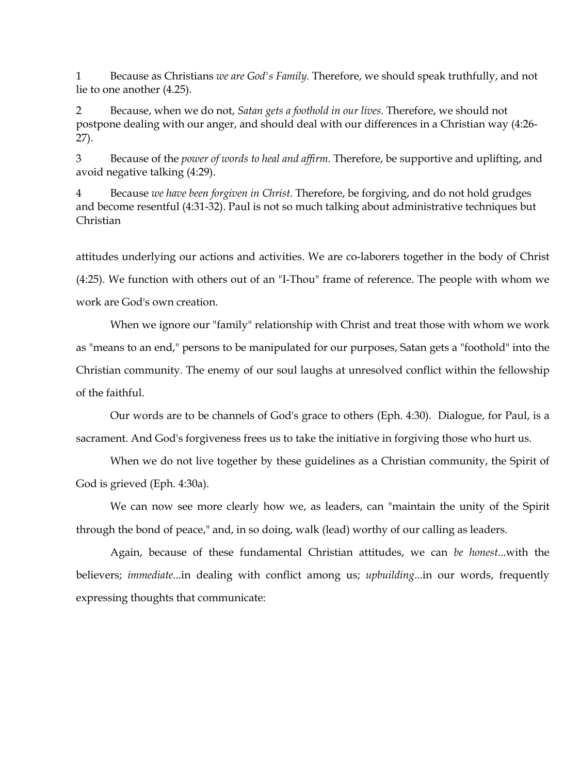1 Because as Christians *we are God's Family.* Therefore, we should speak truthfully, and not lie to one another (4.25).

2 Because, when we do not, *Satan gets a foothold in our lives.* Therefore, we should not postpone dealing with our anger, and should deal with our differences in a Christian way (4:26- 27).

3 Because of the *power of words to heal and affirm.* Therefore, be supportive and uplifting, and avoid negative talking (4:29).

4 Because *we have been forgiven in Christ.* Therefore, be forgiving, and do not hold grudges and become resentful (4:31-32). Paul is not so much talking about administrative techniques but Christian

attitudes underlying our actions and activities. We are co-laborers together in the body of Christ (4:25). We function with others out of an "I-Thou" frame of reference. The people with whom we work are God's own creation.

When we ignore our "family" relationship with Christ and treat those with whom we work as "means to an end," persons to be manipulated for our purposes, Satan gets a "foothold" into the Christian community. The enemy of our soul laughs at unresolved conflict within the fellowship of the faithful.

Our words are to be channels of God's grace to others (Eph. 4:30). Dialogue, for Paul, is a sacrament. And God's forgiveness frees us to take the initiative in forgiving those who hurt us.

When we do not live together by these guidelines as a Christian community, the Spirit of God is grieved (Eph. 4:30a).

We can now see more clearly how we, as leaders, can "maintain the unity of the Spirit through the bond of peace," and, in so doing, walk (lead) worthy of our calling as leaders.

Again, because of these fundamental Christian attitudes, we can *be honest*...with the believers; *immediate*...in dealing with conflict among us; *upbuilding*...in our words, frequently expressing thoughts that communicate: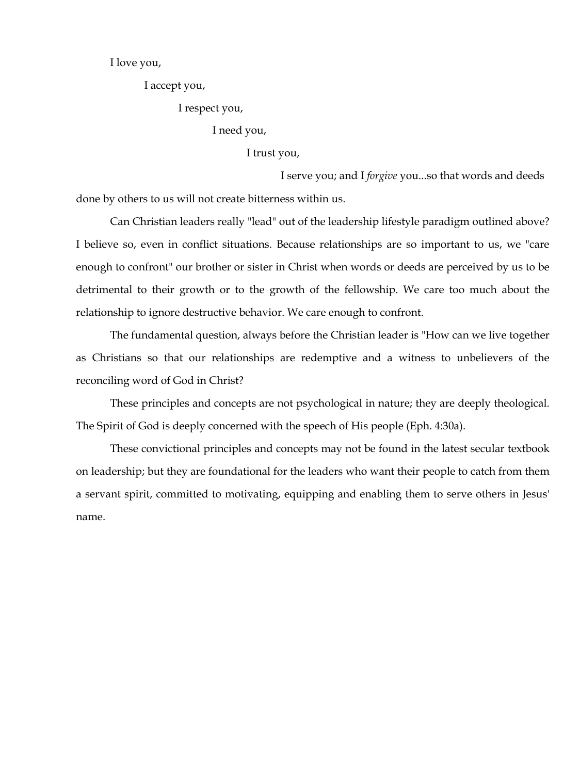I love you,

I accept you,

I respect you,

I need you,

I trust you,

I serve you; and I *forgive* you...so that words and deeds done by others to us will not create bitterness within us.

Can Christian leaders really "lead" out of the leadership lifestyle paradigm outlined above? I believe so, even in conflict situations. Because relationships are so important to us, we "care enough to confront" our brother or sister in Christ when words or deeds are perceived by us to be detrimental to their growth or to the growth of the fellowship. We care too much about the relationship to ignore destructive behavior. We care enough to confront.

The fundamental question, always before the Christian leader is "How can we live together as Christians so that our relationships are redemptive and a witness to unbelievers of the reconciling word of God in Christ?

These principles and concepts are not psychological in nature; they are deeply theological. The Spirit of God is deeply concerned with the speech of His people (Eph. 4:30a).

These convictional principles and concepts may not be found in the latest secular textbook on leadership; but they are foundational for the leaders who want their people to catch from them a servant spirit, committed to motivating, equipping and enabling them to serve others in Jesus' name.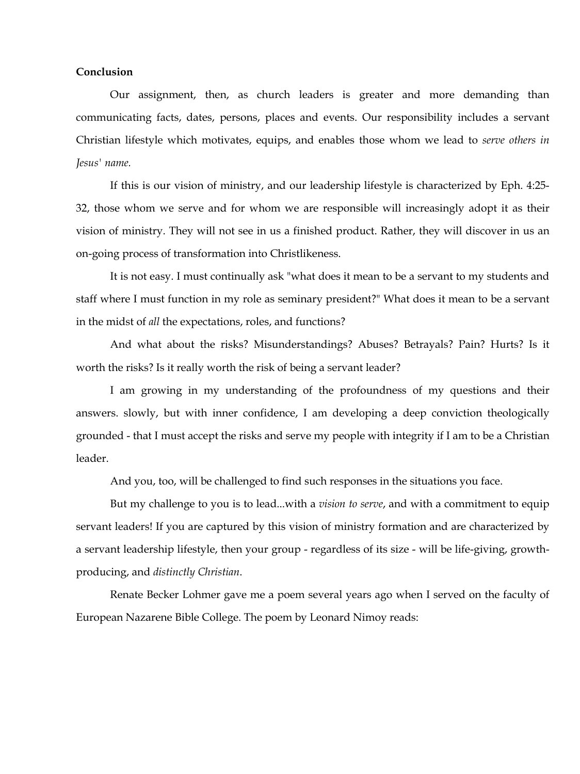# **Conclusion**

Our assignment, then, as church leaders is greater and more demanding than communicating facts, dates, persons, places and events. Our responsibility includes a servant Christian lifestyle which motivates, equips, and enables those whom we lead to *serve others in Jesus' name.* 

If this is our vision of ministry, and our leadership lifestyle is characterized by Eph. 4:25- 32, those whom we serve and for whom we are responsible will increasingly adopt it as their vision of ministry. They will not see in us a finished product. Rather, they will discover in us an on-going process of transformation into Christlikeness.

It is not easy. I must continually ask "what does it mean to be a servant to my students and staff where I must function in my role as seminary president?" What does it mean to be a servant in the midst of *all* the expectations, roles, and functions?

And what about the risks? Misunderstandings? Abuses? Betrayals? Pain? Hurts? Is it worth the risks? Is it really worth the risk of being a servant leader?

I am growing in my understanding of the profoundness of my questions and their answers. slowly, but with inner confidence, I am developing a deep conviction theologically grounded - that I must accept the risks and serve my people with integrity if I am to be a Christian leader.

And you, too, will be challenged to find such responses in the situations you face.

But my challenge to you is to lead...with a *vision to serve*, and with a commitment to equip servant leaders! If you are captured by this vision of ministry formation and are characterized by a servant leadership lifestyle, then your group - regardless of its size - will be life-giving, growthproducing, and *distinctly Christian*.

Renate Becker Lohmer gave me a poem several years ago when I served on the faculty of European Nazarene Bible College. The poem by Leonard Nimoy reads: